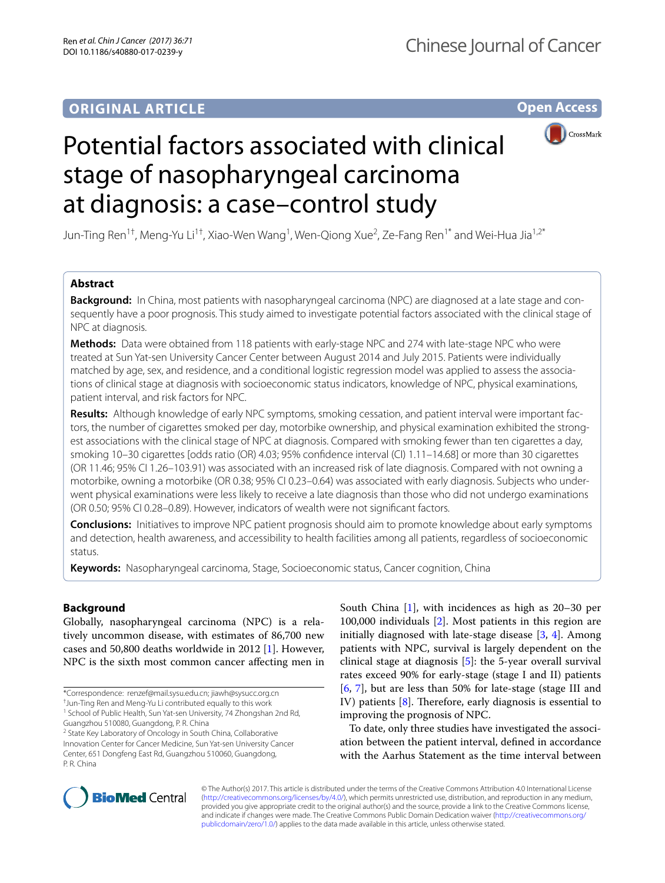## **ORIGINAL ARTICLE**

**Open Access**



# Potential factors associated with clinical stage of nasopharyngeal carcinoma at diagnosis: a case–control study

Jun-Ting Ren<sup>1†</sup>, Meng-Yu Li<sup>1†</sup>, Xiao-Wen Wang<sup>1</sup>, Wen-Qiong Xue<sup>2</sup>, Ze-Fang Ren<sup>1\*</sup> and Wei-Hua Jia<sup>1,2\*</sup>

## **Abstract**

**Background:** In China, most patients with nasopharyngeal carcinoma (NPC) are diagnosed at a late stage and consequently have a poor prognosis. This study aimed to investigate potential factors associated with the clinical stage of NPC at diagnosis.

**Methods:** Data were obtained from 118 patients with early-stage NPC and 274 with late-stage NPC who were treated at Sun Yat-sen University Cancer Center between August 2014 and July 2015. Patients were individually matched by age, sex, and residence, and a conditional logistic regression model was applied to assess the associations of clinical stage at diagnosis with socioeconomic status indicators, knowledge of NPC, physical examinations, patient interval, and risk factors for NPC.

**Results:** Although knowledge of early NPC symptoms, smoking cessation, and patient interval were important fac‑ tors, the number of cigarettes smoked per day, motorbike ownership, and physical examination exhibited the strongest associations with the clinical stage of NPC at diagnosis. Compared with smoking fewer than ten cigarettes a day, smoking 10–30 cigarettes [odds ratio (OR) 4.03; 95% confdence interval (CI) 1.11–14.68] or more than 30 cigarettes (OR 11.46; 95% CI 1.26–103.91) was associated with an increased risk of late diagnosis. Compared with not owning a motorbike, owning a motorbike (OR 0.38; 95% CI 0.23–0.64) was associated with early diagnosis. Subjects who underwent physical examinations were less likely to receive a late diagnosis than those who did not undergo examinations (OR 0.50; 95% CI 0.28–0.89). However, indicators of wealth were not signifcant factors.

**Conclusions:** Initiatives to improve NPC patient prognosis should aim to promote knowledge about early symptoms and detection, health awareness, and accessibility to health facilities among all patients, regardless of socioeconomic status.

**Keywords:** Nasopharyngeal carcinoma, Stage, Socioeconomic status, Cancer cognition, China

## **Background**

Globally, nasopharyngeal carcinoma (NPC) is a relatively uncommon disease, with estimates of 86,700 new cases and 50,800 deaths worldwide in 2012 [\[1\]](#page-8-0). However, NPC is the sixth most common cancer afecting men in

<sup>2</sup> State Key Laboratory of Oncology in South China, Collaborative Innovation Center for Cancer Medicine, Sun Yat-sen University Cancer Center, 651 Dongfeng East Rd, Guangzhou 510060, Guangdong, P. R. China

South China [[1\]](#page-8-0), with incidences as high as 20–30 per 100,000 individuals [\[2](#page-8-1)]. Most patients in this region are initially diagnosed with late-stage disease [[3,](#page-8-2) [4](#page-8-3)]. Among patients with NPC, survival is largely dependent on the clinical stage at diagnosis [[5\]](#page-8-4): the 5-year overall survival rates exceed 90% for early-stage (stage I and II) patients [[6,](#page-8-5) [7](#page-8-6)], but are less than 50% for late-stage (stage III and IV) patients  $[8]$  $[8]$ . Therefore, early diagnosis is essential to improving the prognosis of NPC.

To date, only three studies have investigated the association between the patient interval, defned in accordance with the Aarhus Statement as the time interval between



© The Author(s) 2017. This article is distributed under the terms of the Creative Commons Attribution 4.0 International License [\(http://creativecommons.org/licenses/by/4.0/\)](http://creativecommons.org/licenses/by/4.0/), which permits unrestricted use, distribution, and reproduction in any medium, provided you give appropriate credit to the original author(s) and the source, provide a link to the Creative Commons license, and indicate if changes were made. The Creative Commons Public Domain Dedication waiver ([http://creativecommons.org/](http://creativecommons.org/publicdomain/zero/1.0/) [publicdomain/zero/1.0/](http://creativecommons.org/publicdomain/zero/1.0/)) applies to the data made available in this article, unless otherwise stated.

<sup>\*</sup>Correspondence: renzef@mail.sysu.edu.cn; jiawh@sysucc.org.cn

<sup>†</sup> Jun-Ting Ren and Meng-Yu Li contributed equally to this work

<sup>&</sup>lt;sup>1</sup> School of Public Health, Sun Yat-sen University, 74 Zhongshan 2nd Rd, Guangzhou 510080, Guangdong, P. R. China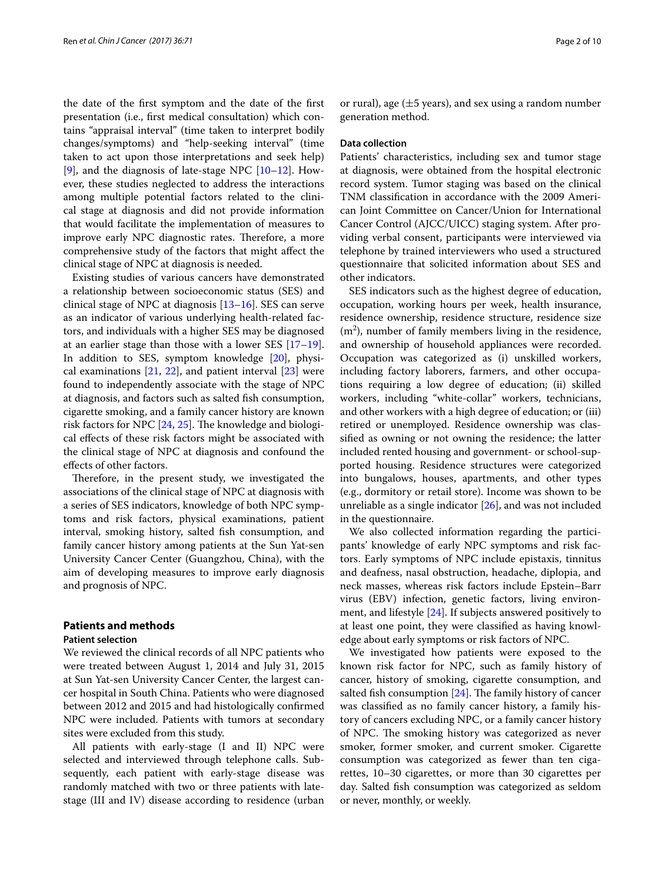the date of the frst symptom and the date of the frst presentation (i.e., frst medical consultation) which contains "appraisal interval" (time taken to interpret bodily changes/symptoms) and "help-seeking interval" (time taken to act upon those interpretations and seek help) [[9\]](#page-8-8), and the diagnosis of late-stage NPC [[10](#page-8-9)[–12](#page-8-10)]. However, these studies neglected to address the interactions among multiple potential factors related to the clinical stage at diagnosis and did not provide information that would facilitate the implementation of measures to improve early NPC diagnostic rates. Therefore, a more comprehensive study of the factors that might afect the clinical stage of NPC at diagnosis is needed.

Existing studies of various cancers have demonstrated a relationship between socioeconomic status (SES) and clinical stage of NPC at diagnosis [[13–](#page-8-11)[16\]](#page-8-12). SES can serve as an indicator of various underlying health-related factors, and individuals with a higher SES may be diagnosed at an earlier stage than those with a lower SES [[17](#page-8-13)[–19](#page-8-14)]. In addition to SES, symptom knowledge [[20\]](#page-8-15), physical examinations [[21](#page-8-16), [22\]](#page-8-17), and patient interval [[23\]](#page-8-18) were found to independently associate with the stage of NPC at diagnosis, and factors such as salted fsh consumption, cigarette smoking, and a family cancer history are known risk factors for NPC  $[24, 25]$  $[24, 25]$  $[24, 25]$  $[24, 25]$ . The knowledge and biological efects of these risk factors might be associated with the clinical stage of NPC at diagnosis and confound the efects of other factors.

Therefore, in the present study, we investigated the associations of the clinical stage of NPC at diagnosis with a series of SES indicators, knowledge of both NPC symptoms and risk factors, physical examinations, patient interval, smoking history, salted fsh consumption, and family cancer history among patients at the Sun Yat-sen University Cancer Center (Guangzhou, China), with the aim of developing measures to improve early diagnosis and prognosis of NPC.

## **Patients and methods**

## **Patient selection**

We reviewed the clinical records of all NPC patients who were treated between August 1, 2014 and July 31, 2015 at Sun Yat-sen University Cancer Center, the largest cancer hospital in South China. Patients who were diagnosed between 2012 and 2015 and had histologically confrmed NPC were included. Patients with tumors at secondary sites were excluded from this study.

All patients with early-stage (I and II) NPC were selected and interviewed through telephone calls. Subsequently, each patient with early-stage disease was randomly matched with two or three patients with latestage (III and IV) disease according to residence (urban or rural), age  $(\pm 5$  years), and sex using a random number generation method.

## **Data collection**

Patients' characteristics, including sex and tumor stage at diagnosis, were obtained from the hospital electronic record system. Tumor staging was based on the clinical TNM classifcation in accordance with the 2009 American Joint Committee on Cancer/Union for International Cancer Control (AJCC/UICC) staging system. After providing verbal consent, participants were interviewed via telephone by trained interviewers who used a structured questionnaire that solicited information about SES and other indicators.

SES indicators such as the highest degree of education, occupation, working hours per week, health insurance, residence ownership, residence structure, residence size  $(m<sup>2</sup>)$ , number of family members living in the residence, and ownership of household appliances were recorded. Occupation was categorized as (i) unskilled workers, including factory laborers, farmers, and other occupations requiring a low degree of education; (ii) skilled workers, including "white-collar" workers, technicians, and other workers with a high degree of education; or (iii) retired or unemployed. Residence ownership was classifed as owning or not owning the residence; the latter included rented housing and government- or school-supported housing. Residence structures were categorized into bungalows, houses, apartments, and other types (e.g., dormitory or retail store). Income was shown to be unreliable as a single indicator [[26\]](#page-8-21), and was not included in the questionnaire.

We also collected information regarding the participants' knowledge of early NPC symptoms and risk factors. Early symptoms of NPC include epistaxis, tinnitus and deafness, nasal obstruction, headache, diplopia, and neck masses, whereas risk factors include Epstein–Barr virus (EBV) infection, genetic factors, living environment, and lifestyle [\[24](#page-8-19)]. If subjects answered positively to at least one point, they were classifed as having knowledge about early symptoms or risk factors of NPC.

We investigated how patients were exposed to the known risk factor for NPC, such as family history of cancer, history of smoking, cigarette consumption, and salted fish consumption  $[24]$  $[24]$ . The family history of cancer was classifed as no family cancer history, a family history of cancers excluding NPC, or a family cancer history of NPC. The smoking history was categorized as never smoker, former smoker, and current smoker. Cigarette consumption was categorized as fewer than ten cigarettes, 10–30 cigarettes, or more than 30 cigarettes per day. Salted fsh consumption was categorized as seldom or never, monthly, or weekly.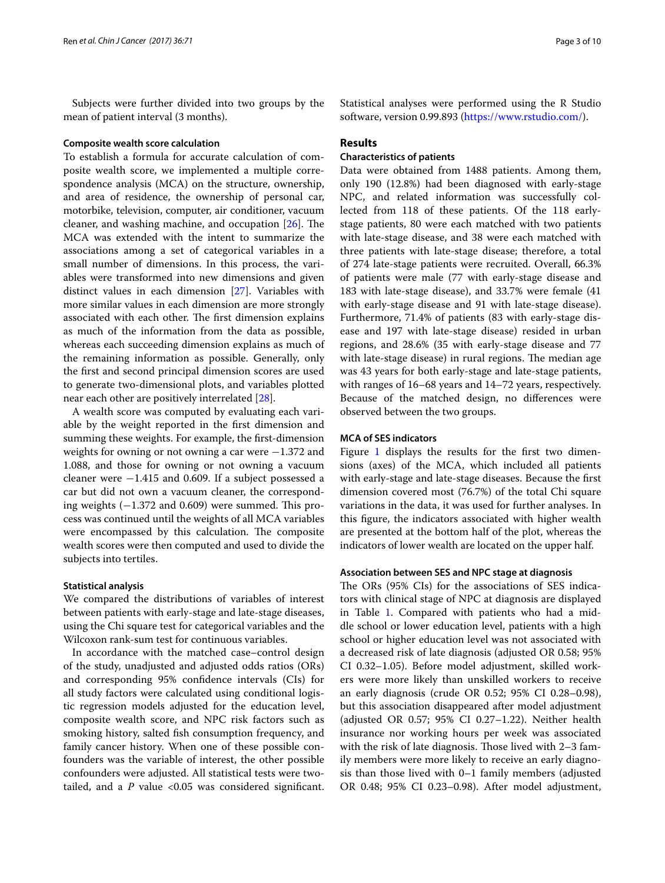Subjects were further divided into two groups by the mean of patient interval (3 months).

#### **Composite wealth score calculation**

To establish a formula for accurate calculation of composite wealth score, we implemented a multiple correspondence analysis (MCA) on the structure, ownership, and area of residence, the ownership of personal car, motorbike, television, computer, air conditioner, vacuum cleaner, and washing machine, and occupation  $[26]$  $[26]$ . The MCA was extended with the intent to summarize the associations among a set of categorical variables in a small number of dimensions. In this process, the variables were transformed into new dimensions and given distinct values in each dimension [[27\]](#page-8-22). Variables with more similar values in each dimension are more strongly associated with each other. The first dimension explains as much of the information from the data as possible, whereas each succeeding dimension explains as much of the remaining information as possible. Generally, only the frst and second principal dimension scores are used to generate two-dimensional plots, and variables plotted near each other are positively interrelated [[28\]](#page-8-23).

A wealth score was computed by evaluating each variable by the weight reported in the frst dimension and summing these weights. For example, the frst-dimension weights for owning or not owning a car were −1.372 and 1.088, and those for owning or not owning a vacuum cleaner were −1.415 and 0.609. If a subject possessed a car but did not own a vacuum cleaner, the corresponding weights  $(-1.372$  and 0.609) were summed. This process was continued until the weights of all MCA variables were encompassed by this calculation. The composite wealth scores were then computed and used to divide the subjects into tertiles.

### **Statistical analysis**

We compared the distributions of variables of interest between patients with early-stage and late-stage diseases, using the Chi square test for categorical variables and the Wilcoxon rank-sum test for continuous variables.

In accordance with the matched case–control design of the study, unadjusted and adjusted odds ratios (ORs) and corresponding 95% confdence intervals (CIs) for all study factors were calculated using conditional logistic regression models adjusted for the education level, composite wealth score, and NPC risk factors such as smoking history, salted fsh consumption frequency, and family cancer history. When one of these possible confounders was the variable of interest, the other possible confounders were adjusted. All statistical tests were twotailed, and a *P* value <0.05 was considered significant. Statistical analyses were performed using the R Studio software, version 0.99.893 ([https://www.rstudio.com/\)](https://www.rstudio.com/).

#### **Results**

## **Characteristics of patients**

Data were obtained from 1488 patients. Among them, only 190 (12.8%) had been diagnosed with early-stage NPC, and related information was successfully collected from 118 of these patients. Of the 118 earlystage patients, 80 were each matched with two patients with late-stage disease, and 38 were each matched with three patients with late-stage disease; therefore, a total of 274 late-stage patients were recruited. Overall, 66.3% of patients were male (77 with early-stage disease and 183 with late-stage disease), and 33.7% were female (41 with early-stage disease and 91 with late-stage disease). Furthermore, 71.4% of patients (83 with early-stage disease and 197 with late-stage disease) resided in urban regions, and 28.6% (35 with early-stage disease and 77 with late-stage disease) in rural regions. The median age was 43 years for both early-stage and late-stage patients, with ranges of 16–68 years and 14–72 years, respectively. Because of the matched design, no diferences were observed between the two groups.

## **MCA of SES indicators**

Figure [1](#page-3-0) displays the results for the first two dimensions (axes) of the MCA, which included all patients with early-stage and late-stage diseases. Because the frst dimension covered most (76.7%) of the total Chi square variations in the data, it was used for further analyses. In this fgure, the indicators associated with higher wealth are presented at the bottom half of the plot, whereas the indicators of lower wealth are located on the upper half.

## **Association between SES and NPC stage at diagnosis**

The ORs (95% CIs) for the associations of SES indicators with clinical stage of NPC at diagnosis are displayed in Table [1](#page-4-0). Compared with patients who had a middle school or lower education level, patients with a high school or higher education level was not associated with a decreased risk of late diagnosis (adjusted OR 0.58; 95% CI 0.32–1.05). Before model adjustment, skilled workers were more likely than unskilled workers to receive an early diagnosis (crude OR 0.52; 95% CI 0.28–0.98), but this association disappeared after model adjustment (adjusted OR 0.57; 95% CI 0.27–1.22). Neither health insurance nor working hours per week was associated with the risk of late diagnosis. Those lived with 2–3 family members were more likely to receive an early diagnosis than those lived with 0–1 family members (adjusted OR 0.48; 95% CI 0.23–0.98). After model adjustment,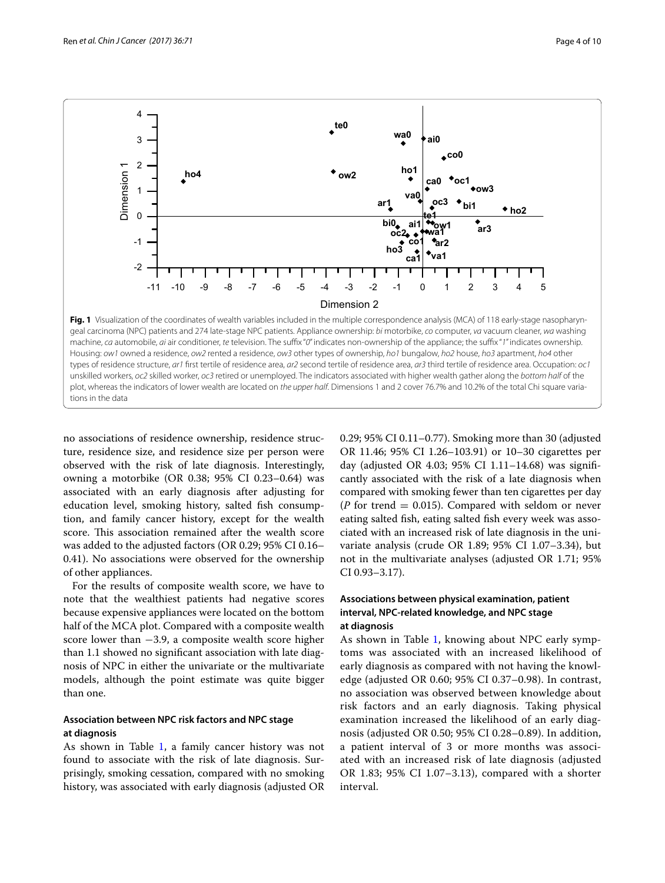<span id="page-3-0"></span>tions in the data



no associations of residence ownership, residence structure, residence size, and residence size per person were observed with the risk of late diagnosis. Interestingly, owning a motorbike (OR 0.38; 95% CI 0.23–0.64) was associated with an early diagnosis after adjusting for education level, smoking history, salted fish consumption, and family cancer history, except for the wealth score. This association remained after the wealth score was added to the adjusted factors (OR 0.29; 95% CI 0.16– 0.41). No associations were observed for the ownership of other appliances.

For the results of composite wealth score, we have to note that the wealthiest patients had negative scores because expensive appliances were located on the bottom half of the MCA plot. Compared with a composite wealth score lower than −3.9, a composite wealth score higher than 1.1 showed no signifcant association with late diagnosis of NPC in either the univariate or the multivariate models, although the point estimate was quite bigger than one.

## **Association between NPC risk factors and NPC stage at diagnosis**

As shown in Table [1](#page-4-0), a family cancer history was not found to associate with the risk of late diagnosis. Surprisingly, smoking cessation, compared with no smoking history, was associated with early diagnosis (adjusted OR 0.29; 95% CI 0.11–0.77). Smoking more than 30 (adjusted OR 11.46; 95% CI 1.26–103.91) or 10–30 cigarettes per day (adjusted OR 4.03; 95% CI 1.11–14.68) was signifcantly associated with the risk of a late diagnosis when compared with smoking fewer than ten cigarettes per day ( $P$  for trend  $= 0.015$ ). Compared with seldom or never eating salted fsh, eating salted fsh every week was associated with an increased risk of late diagnosis in the univariate analysis (crude OR 1.89; 95% CI 1.07–3.34), but not in the multivariate analyses (adjusted OR 1.71; 95% CI 0.93–3.17).

## **Associations between physical examination, patient interval, NPC‑related knowledge, and NPC stage at diagnosis**

As shown in Table [1,](#page-4-0) knowing about NPC early symptoms was associated with an increased likelihood of early diagnosis as compared with not having the knowledge (adjusted OR 0.60; 95% CI 0.37–0.98). In contrast, no association was observed between knowledge about risk factors and an early diagnosis. Taking physical examination increased the likelihood of an early diagnosis (adjusted OR 0.50; 95% CI 0.28–0.89). In addition, a patient interval of 3 or more months was associated with an increased risk of late diagnosis (adjusted OR 1.83; 95% CI 1.07–3.13), compared with a shorter interval.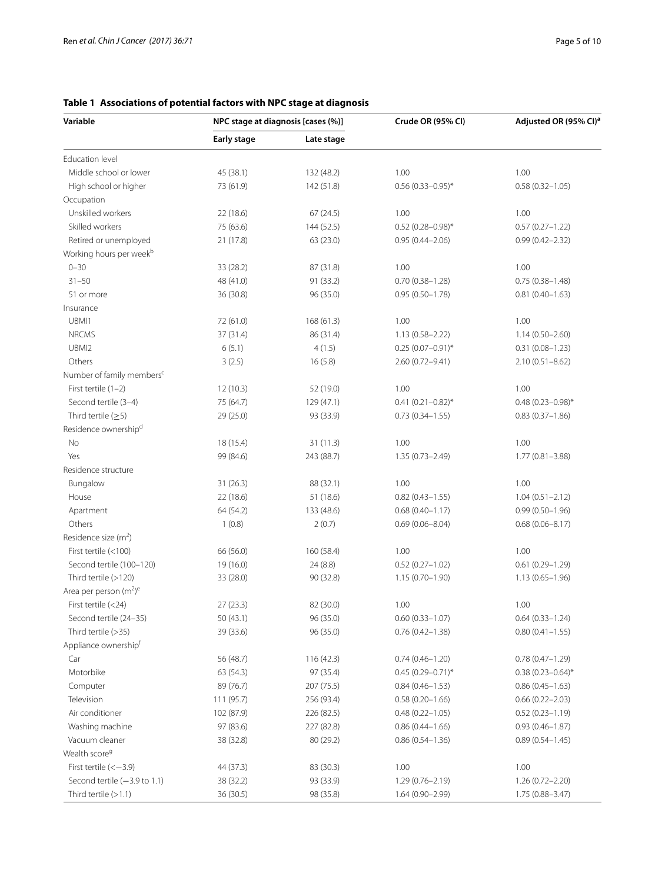## <span id="page-4-0"></span>**Table 1 Associations of potential factors with NPC stage at diagnosis**

| Variable                                       | NPC stage at diagnosis [cases (%)] |            | Crude OR (95% CI)       | Adjusted OR (95% CI) <sup>a</sup> |
|------------------------------------------------|------------------------------------|------------|-------------------------|-----------------------------------|
|                                                | Early stage                        | Late stage |                         |                                   |
| Education level                                |                                    |            |                         |                                   |
| Middle school or lower                         | 45 (38.1)                          | 132 (48.2) | 1.00                    | 1.00                              |
| High school or higher                          | 73 (61.9)                          | 142 (51.8) | $0.56$ (0.33-0.95)*     | $0.58(0.32 - 1.05)$               |
| Occupation                                     |                                    |            |                         |                                   |
| Unskilled workers                              | 22 (18.6)                          | 67(24.5)   | 1.00                    | 1.00                              |
| Skilled workers                                | 75 (63.6)                          | 144 (52.5) | $0.52$ (0.28-0.98)*     | $0.57(0.27 - 1.22)$               |
| Retired or unemployed                          | 21 (17.8)                          | 63 (23.0)  | $0.95(0.44 - 2.06)$     | $0.99(0.42 - 2.32)$               |
| Working hours per week <sup>b</sup>            |                                    |            |                         |                                   |
| $0 - 30$                                       | 33 (28.2)                          | 87 (31.8)  | 1.00                    | 1.00                              |
| $31 - 50$                                      | 48 (41.0)                          | 91 (33.2)  | $0.70(0.38 - 1.28)$     | $0.75(0.38 - 1.48)$               |
| 51 or more                                     | 36 (30.8)                          | 96 (35.0)  | $0.95(0.50 - 1.78)$     | $0.81(0.40-1.63)$                 |
| Insurance                                      |                                    |            |                         |                                   |
| UBMI1                                          | 72 (61.0)                          | 168 (61.3) | 1.00                    | 1.00                              |
| <b>NRCMS</b>                                   | 37 (31.4)                          | 86 (31.4)  | 1.13 (0.58-2.22)        | $1.14(0.50 - 2.60)$               |
| UBMI2                                          | 6(5.1)                             | 4(1.5)     | $0.25(0.07-0.91)$ *     | $0.31(0.08 - 1.23)$               |
| Others                                         | 3(2.5)                             | 16(5.8)    | $2.60(0.72 - 9.41)$     | $2.10(0.51 - 8.62)$               |
| Number of family members <sup>c</sup>          |                                    |            |                         |                                   |
| First tertile (1-2)                            | 12(10.3)                           | 52 (19.0)  | 1.00                    | 1.00                              |
| Second tertile (3-4)                           | 75 (64.7)                          | 129 (47.1) | $0.41(0.21 - 0.82)^*$   | $0.48(0.23 - 0.98)^*$             |
| Third tertile $(≥5)$                           | 29 (25.0)                          | 93 (33.9)  | $0.73(0.34 - 1.55)$     | $0.83(0.37-1.86)$                 |
| Residence ownership <sup>d</sup>               |                                    |            |                         |                                   |
| No                                             | 18 (15.4)                          | 31 (11.3)  | 1.00                    | 1.00                              |
| Yes                                            | 99 (84.6)                          | 243 (88.7) | 1.35 (0.73-2.49)        | 1.77 (0.81-3.88)                  |
| Residence structure                            |                                    |            |                         |                                   |
|                                                |                                    |            | 1.00                    | 1.00                              |
| Bungalow                                       | 31(26.3)                           | 88 (32.1)  | $0.82(0.43 - 1.55)$     |                                   |
| House                                          | 22 (18.6)                          | 51 (18.6)  |                         | $1.04(0.51 - 2.12)$               |
| Apartment                                      | 64 (54.2)                          | 133 (48.6) | $0.68(0.40 - 1.17)$     | $0.99(0.50 - 1.96)$               |
| Others                                         | 1(0.8)                             | 2(0.7)     | $0.69(0.06 - 8.04)$     | $0.68(0.06 - 8.17)$               |
| Residence size (m <sup>2</sup> )               |                                    |            |                         |                                   |
| First tertile (<100)                           | 66 (56.0)                          | 160 (58.4) | 1.00                    | 1.00                              |
| Second tertile (100-120)                       | 19 (16.0)                          | 24 (8.8)   | $0.52(0.27 - 1.02)$     | $0.61(0.29 - 1.29)$               |
| Third tertile $(>120)$                         | 33 (28.0)                          | 90 (32.8)  | $1.15(0.70 - 1.90)$     | $1.13(0.65 - 1.96)$               |
| Area per person (m <sup>2</sup> ) <sup>e</sup> |                                    |            |                         |                                   |
| First tertile (<24)                            | 27(23.3)                           | 82 (30.0)  | 1.00                    | 1.00                              |
| Second tertile (24-35)                         | 50 (43.1)                          | 96 (35.0)  | $0.60(0.33 - 1.07)$     | $0.64(0.33 - 1.24)$               |
| Third tertile (>35)                            | 39 (33.6)                          | 96 (35.0)  | $0.76(0.42 - 1.38)$     | $0.80(0.41 - 1.55)$               |
| Appliance ownership <sup>f</sup>               |                                    |            |                         |                                   |
| Car                                            | 56 (48.7)                          | 116 (42.3) | $0.74(0.46 - 1.20)$     | $0.78(0.47 - 1.29)$               |
| Motorbike                                      | 63 (54.3)                          | 97 (35.4)  | $0.45(0.29 - 0.71)^{*}$ | $0.38(0.23 - 0.64)^*$             |
| Computer                                       | 89 (76.7)                          | 207 (75.5) | $0.84(0.46 - 1.53)$     | $0.86(0.45 - 1.63)$               |
| Television                                     | 111 (95.7)                         | 256 (93.4) | $0.58(0.20 - 1.66)$     | $0.66(0.22 - 2.03)$               |
| Air conditioner                                | 102 (87.9)                         | 226 (82.5) | $0.48(0.22 - 1.05)$     | $0.52(0.23 - 1.19)$               |
| Washing machine                                | 97 (83.6)                          | 227 (82.8) | $0.86(0.44 - 1.66)$     | $0.93(0.46 - 1.87)$               |
| Vacuum cleaner                                 | 38 (32.8)                          | 80 (29.2)  | $0.86(0.54 - 1.36)$     | $0.89(0.54 - 1.45)$               |
| Wealth score <sup>9</sup>                      |                                    |            |                         |                                   |
| First tertile $(< -3.9)$                       | 44 (37.3)                          | 83 (30.3)  | 1.00                    | 1.00                              |
| Second tertile $(-3.9 \text{ to } 1.1)$        | 38 (32.2)                          | 93 (33.9)  | $1.29(0.76 - 2.19)$     | $1.26(0.72 - 2.20)$               |
| Third tertile $(>1.1)$                         | 36 (30.5)                          | 98 (35.8)  | $1.64(0.90 - 2.99)$     | $1.75(0.88 - 3.47)$               |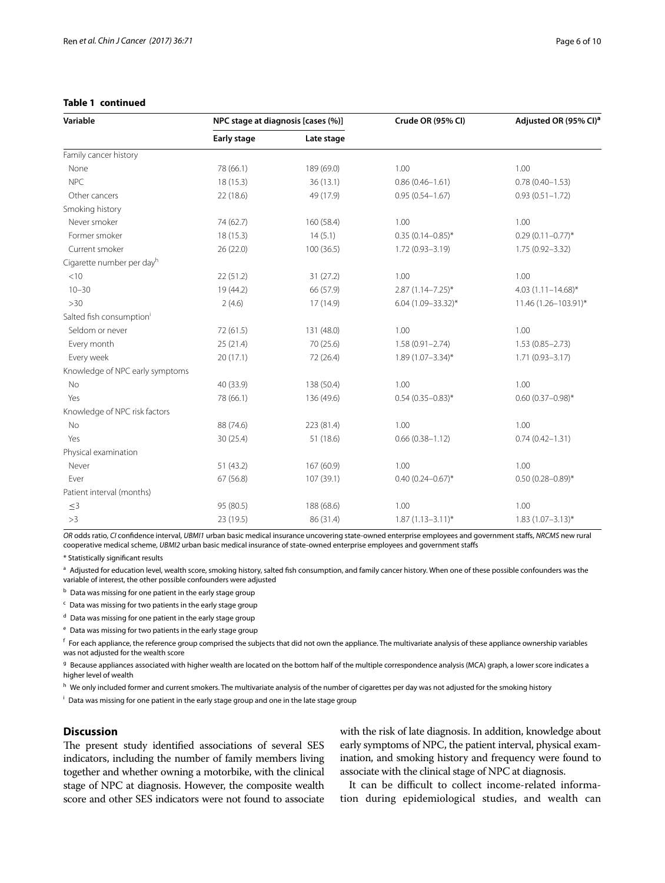## **Table 1 continued**

| Variable                             | NPC stage at diagnosis [cases (%)] |            | Crude OR (95% CI)       | Adjusted OR (95% CI) <sup>a</sup> |
|--------------------------------------|------------------------------------|------------|-------------------------|-----------------------------------|
|                                      | Early stage                        | Late stage |                         |                                   |
| Family cancer history                |                                    |            |                         |                                   |
| None                                 | 78 (66.1)                          | 189 (69.0) | 1.00                    | 1.00                              |
| <b>NPC</b>                           | 18(15.3)                           | 36(13.1)   | $0.86(0.46 - 1.61)$     | $0.78(0.40 - 1.53)$               |
| Other cancers                        | 22 (18.6)                          | 49 (17.9)  | $0.95(0.54 - 1.67)$     | $0.93(0.51 - 1.72)$               |
| Smoking history                      |                                    |            |                         |                                   |
| Never smoker                         | 74 (62.7)                          | 160 (58.4) | 1.00                    | 1.00                              |
| Former smoker                        | 18(15.3)                           | 14(5.1)    | $0.35(0.14 - 0.85)^*$   | $0.29(0.11 - 0.77)^*$             |
| Current smoker                       | 26(22.0)                           | 100(36.5)  | $1.72(0.93 - 3.19)$     | $1.75(0.92 - 3.32)$               |
| Cigarette number per dayh            |                                    |            |                         |                                   |
| < 10                                 | 22(51.2)                           | 31(27.2)   | 1.00                    | 1.00                              |
| $10 - 30$                            | 19 (44.2)                          | 66 (57.9)  | $2.87(1.14 - 7.25)^*$   | $4.03(1.11 - 14.68)^{*}$          |
| >30                                  | 2(4.6)                             | 17 (14.9)  | 6.04 (1.09-33.32)*      | 11.46 (1.26-103.91)*              |
| Salted fish consumption <sup>i</sup> |                                    |            |                         |                                   |
| Seldom or never                      | 72(61.5)                           | 131 (48.0) | 1.00                    | 1.00                              |
| Every month                          | 25(21.4)                           | 70(25.6)   | $1.58(0.91 - 2.74)$     | $1.53(0.85 - 2.73)$               |
| Every week                           | 20(17.1)                           | 72 (26.4)  | 1.89 (1.07-3.34)*       | $1.71(0.93 - 3.17)$               |
| Knowledge of NPC early symptoms      |                                    |            |                         |                                   |
| <b>No</b>                            | 40 (33.9)                          | 138 (50.4) | 1.00                    | 1.00                              |
| Yes                                  | 78 (66.1)                          | 136 (49.6) | $0.54$ (0.35-0.83)*     | $0.60(0.37 - 0.98)^*$             |
| Knowledge of NPC risk factors        |                                    |            |                         |                                   |
| No                                   | 88 (74.6)                          | 223 (81.4) | 1.00                    | 1.00                              |
| Yes                                  | 30(25.4)                           | 51 (18.6)  | $0.66(0.38 - 1.12)$     | $0.74(0.42 - 1.31)$               |
| Physical examination                 |                                    |            |                         |                                   |
| Never                                | 51(43.2)                           | 167(60.9)  | 1.00                    | 1.00                              |
| Ever                                 | 67(56.8)                           | 107 (39.1) | $0.40(0.24 - 0.67)$ *   | $0.50(0.28 - 0.89)^*$             |
| Patient interval (months)            |                                    |            |                         |                                   |
| $\leq 3$                             | 95 (80.5)                          | 188 (68.6) | 1.00                    | 1.00                              |
| >3                                   | 23 (19.5)                          | 86 (31.4)  | $1.87(1.13 - 3.11)^{*}$ | $1.83(1.07 - 3.13)^*$             |

*OR* odds ratio, *CI* confdence interval, *UBMI1* urban basic medical insurance uncovering state-owned enterprise employees and government stafs, *NRCMS* new rural cooperative medical scheme, *UBMI2* urban basic medical insurance of state-owned enterprise employees and government stafs

\* Statistically signifcant results

<sup>a</sup> Adjusted for education level, wealth score, smoking history, salted fish consumption, and family cancer history. When one of these possible confounders was the variable of interest, the other possible confounders were adjusted

b Data was missing for one patient in the early stage group

 $\epsilon$  Data was missing for two patients in the early stage group

 $\mathrm{^{d}}\,$  Data was missing for one patient in the early stage group

<sup>e</sup> Data was missing for two patients in the early stage group

<sup>f</sup> For each appliance, the reference group comprised the subjects that did not own the appliance. The multivariate analysis of these appliance ownership variables was not adjusted for the wealth score

<sup>g</sup> Because appliances associated with higher wealth are located on the bottom half of the multiple correspondence analysis (MCA) graph, a lower score indicates a higher level of wealth

h We only included former and current smokers. The multivariate analysis of the number of cigarettes per day was not adjusted for the smoking history

<sup>i</sup> Data was missing for one patient in the early stage group and one in the late stage group

## **Discussion**

The present study identified associations of several SES indicators, including the number of family members living together and whether owning a motorbike, with the clinical stage of NPC at diagnosis. However, the composite wealth score and other SES indicators were not found to associate with the risk of late diagnosis. In addition, knowledge about early symptoms of NPC, the patient interval, physical examination, and smoking history and frequency were found to associate with the clinical stage of NPC at diagnosis.

It can be difficult to collect income-related information during epidemiological studies, and wealth can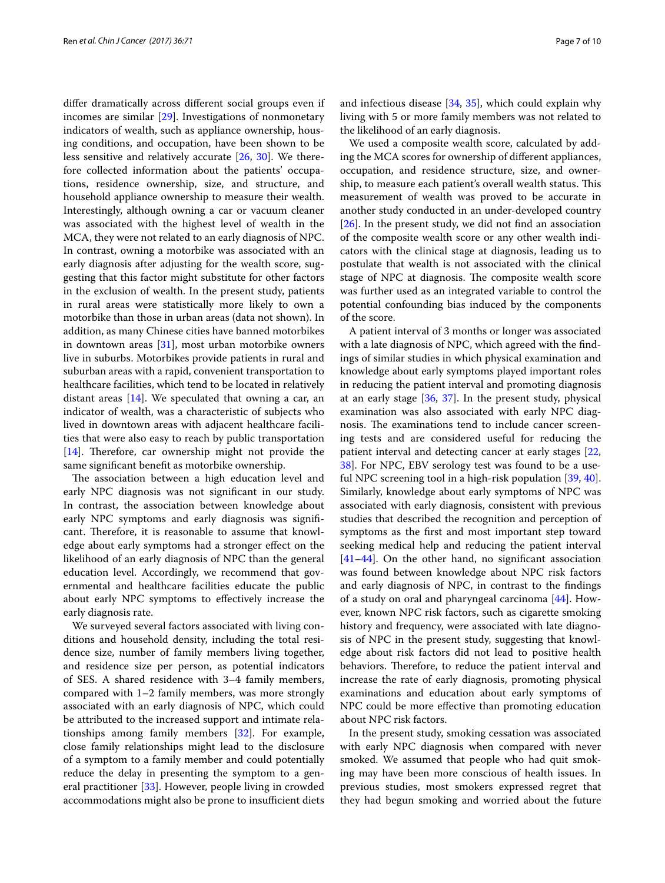difer dramatically across diferent social groups even if incomes are similar [[29\]](#page-8-24). Investigations of nonmonetary indicators of wealth, such as appliance ownership, housing conditions, and occupation, have been shown to be less sensitive and relatively accurate [\[26,](#page-8-21) [30](#page-8-25)]. We therefore collected information about the patients' occupations, residence ownership, size, and structure, and household appliance ownership to measure their wealth. Interestingly, although owning a car or vacuum cleaner was associated with the highest level of wealth in the MCA, they were not related to an early diagnosis of NPC. In contrast, owning a motorbike was associated with an early diagnosis after adjusting for the wealth score, suggesting that this factor might substitute for other factors in the exclusion of wealth. In the present study, patients in rural areas were statistically more likely to own a motorbike than those in urban areas (data not shown). In addition, as many Chinese cities have banned motorbikes in downtown areas  $[31]$  $[31]$ , most urban motorbike owners live in suburbs. Motorbikes provide patients in rural and suburban areas with a rapid, convenient transportation to healthcare facilities, which tend to be located in relatively distant areas [[14](#page-8-27)]. We speculated that owning a car, an indicator of wealth, was a characteristic of subjects who lived in downtown areas with adjacent healthcare facilities that were also easy to reach by public transportation  $[14]$  $[14]$ . Therefore, car ownership might not provide the same signifcant beneft as motorbike ownership.

The association between a high education level and early NPC diagnosis was not signifcant in our study. In contrast, the association between knowledge about early NPC symptoms and early diagnosis was signifcant. Therefore, it is reasonable to assume that knowledge about early symptoms had a stronger efect on the likelihood of an early diagnosis of NPC than the general education level. Accordingly, we recommend that governmental and healthcare facilities educate the public about early NPC symptoms to efectively increase the early diagnosis rate.

We surveyed several factors associated with living conditions and household density, including the total residence size, number of family members living together, and residence size per person, as potential indicators of SES. A shared residence with 3–4 family members, compared with 1–2 family members, was more strongly associated with an early diagnosis of NPC, which could be attributed to the increased support and intimate relationships among family members [\[32\]](#page-8-28). For example, close family relationships might lead to the disclosure of a symptom to a family member and could potentially reduce the delay in presenting the symptom to a general practitioner [\[33](#page-8-29)]. However, people living in crowded accommodations might also be prone to insufficient diets and infectious disease [[34,](#page-8-30) [35](#page-8-31)], which could explain why living with 5 or more family members was not related to the likelihood of an early diagnosis.

We used a composite wealth score, calculated by adding the MCA scores for ownership of diferent appliances, occupation, and residence structure, size, and ownership, to measure each patient's overall wealth status. This measurement of wealth was proved to be accurate in another study conducted in an under-developed country [[26\]](#page-8-21). In the present study, we did not fnd an association of the composite wealth score or any other wealth indicators with the clinical stage at diagnosis, leading us to postulate that wealth is not associated with the clinical stage of NPC at diagnosis. The composite wealth score was further used as an integrated variable to control the potential confounding bias induced by the components of the score.

A patient interval of 3 months or longer was associated with a late diagnosis of NPC, which agreed with the fndings of similar studies in which physical examination and knowledge about early symptoms played important roles in reducing the patient interval and promoting diagnosis at an early stage [\[36](#page-8-32), [37\]](#page-8-33). In the present study, physical examination was also associated with early NPC diagnosis. The examinations tend to include cancer screening tests and are considered useful for reducing the patient interval and detecting cancer at early stages [[22](#page-8-17), [38\]](#page-8-34). For NPC, EBV serology test was found to be a useful NPC screening tool in a high-risk population [[39,](#page-9-0) [40](#page-9-1)]. Similarly, knowledge about early symptoms of NPC was associated with early diagnosis, consistent with previous studies that described the recognition and perception of symptoms as the frst and most important step toward seeking medical help and reducing the patient interval [[41–](#page-9-2)[44\]](#page-9-3). On the other hand, no signifcant association was found between knowledge about NPC risk factors and early diagnosis of NPC, in contrast to the fndings of a study on oral and pharyngeal carcinoma [[44\]](#page-9-3). However, known NPC risk factors, such as cigarette smoking history and frequency, were associated with late diagnosis of NPC in the present study, suggesting that knowledge about risk factors did not lead to positive health behaviors. Therefore, to reduce the patient interval and increase the rate of early diagnosis, promoting physical examinations and education about early symptoms of NPC could be more efective than promoting education about NPC risk factors.

In the present study, smoking cessation was associated with early NPC diagnosis when compared with never smoked. We assumed that people who had quit smoking may have been more conscious of health issues. In previous studies, most smokers expressed regret that they had begun smoking and worried about the future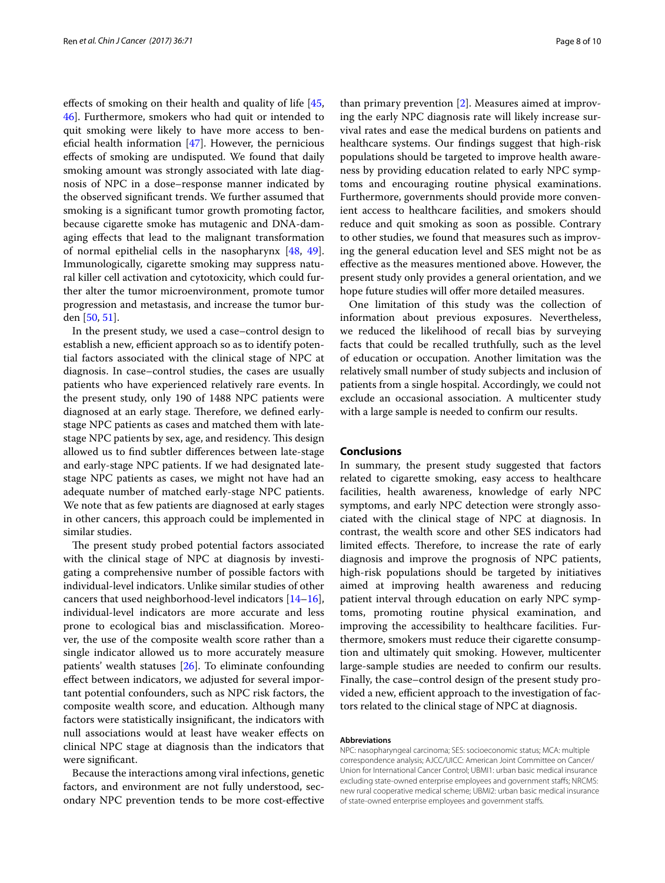efects of smoking on their health and quality of life [\[45](#page-9-4), [46\]](#page-9-5). Furthermore, smokers who had quit or intended to quit smoking were likely to have more access to beneficial health information  $[47]$  $[47]$  $[47]$ . However, the pernicious efects of smoking are undisputed. We found that daily smoking amount was strongly associated with late diagnosis of NPC in a dose–response manner indicated by the observed signifcant trends. We further assumed that smoking is a signifcant tumor growth promoting factor, because cigarette smoke has mutagenic and DNA-damaging efects that lead to the malignant transformation of normal epithelial cells in the nasopharynx [[48,](#page-9-7) [49](#page-9-8)]. Immunologically, cigarette smoking may suppress natural killer cell activation and cytotoxicity, which could further alter the tumor microenvironment, promote tumor progression and metastasis, and increase the tumor burden [\[50](#page-9-9), [51\]](#page-9-10).

In the present study, we used a case–control design to establish a new, efficient approach so as to identify potential factors associated with the clinical stage of NPC at diagnosis. In case–control studies, the cases are usually patients who have experienced relatively rare events. In the present study, only 190 of 1488 NPC patients were diagnosed at an early stage. Therefore, we defined earlystage NPC patients as cases and matched them with latestage NPC patients by sex, age, and residency. This design allowed us to fnd subtler diferences between late-stage and early-stage NPC patients. If we had designated latestage NPC patients as cases, we might not have had an adequate number of matched early-stage NPC patients. We note that as few patients are diagnosed at early stages in other cancers, this approach could be implemented in similar studies.

The present study probed potential factors associated with the clinical stage of NPC at diagnosis by investigating a comprehensive number of possible factors with individual-level indicators. Unlike similar studies of other cancers that used neighborhood-level indicators [[14](#page-8-27)[–16](#page-8-12)], individual-level indicators are more accurate and less prone to ecological bias and misclassifcation. Moreover, the use of the composite wealth score rather than a single indicator allowed us to more accurately measure patients' wealth statuses [\[26](#page-8-21)]. To eliminate confounding efect between indicators, we adjusted for several important potential confounders, such as NPC risk factors, the composite wealth score, and education. Although many factors were statistically insignifcant, the indicators with null associations would at least have weaker efects on clinical NPC stage at diagnosis than the indicators that were signifcant.

Because the interactions among viral infections, genetic factors, and environment are not fully understood, secondary NPC prevention tends to be more cost-efective than primary prevention [\[2\]](#page-8-1). Measures aimed at improving the early NPC diagnosis rate will likely increase survival rates and ease the medical burdens on patients and healthcare systems. Our fndings suggest that high-risk populations should be targeted to improve health awareness by providing education related to early NPC symptoms and encouraging routine physical examinations. Furthermore, governments should provide more convenient access to healthcare facilities, and smokers should reduce and quit smoking as soon as possible. Contrary to other studies, we found that measures such as improving the general education level and SES might not be as efective as the measures mentioned above. However, the present study only provides a general orientation, and we hope future studies will offer more detailed measures.

One limitation of this study was the collection of information about previous exposures. Nevertheless, we reduced the likelihood of recall bias by surveying facts that could be recalled truthfully, such as the level of education or occupation. Another limitation was the relatively small number of study subjects and inclusion of patients from a single hospital. Accordingly, we could not exclude an occasional association. A multicenter study with a large sample is needed to confrm our results.

## **Conclusions**

In summary, the present study suggested that factors related to cigarette smoking, easy access to healthcare facilities, health awareness, knowledge of early NPC symptoms, and early NPC detection were strongly associated with the clinical stage of NPC at diagnosis. In contrast, the wealth score and other SES indicators had limited effects. Therefore, to increase the rate of early diagnosis and improve the prognosis of NPC patients, high-risk populations should be targeted by initiatives aimed at improving health awareness and reducing patient interval through education on early NPC symptoms, promoting routine physical examination, and improving the accessibility to healthcare facilities. Furthermore, smokers must reduce their cigarette consumption and ultimately quit smoking. However, multicenter large-sample studies are needed to confrm our results. Finally, the case–control design of the present study provided a new, efficient approach to the investigation of factors related to the clinical stage of NPC at diagnosis.

### **Abbreviations**

NPC: nasopharyngeal carcinoma; SES: socioeconomic status; MCA: multiple correspondence analysis; AJCC/UICC: American Joint Committee on Cancer/ Union for International Cancer Control; UBMI1: urban basic medical insurance excluding state-owned enterprise employees and government staffs; NRCMS: new rural cooperative medical scheme; UBMI2: urban basic medical insurance of state-owned enterprise employees and government stafs.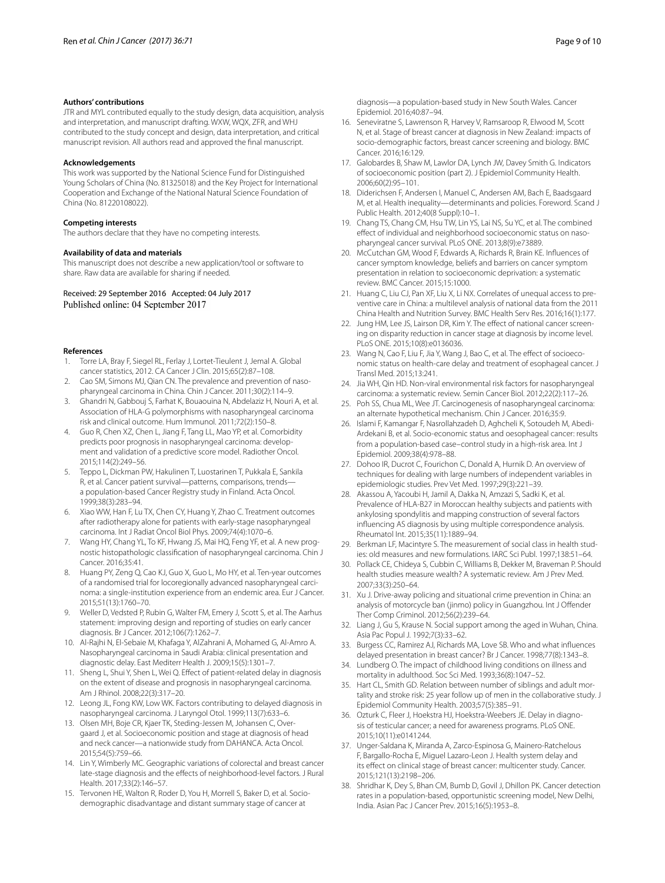### **Authors' contributions**

JTR and MYL contributed equally to the study design, data acquisition, analysis and interpretation, and manuscript drafting. WXW, WQX, ZFR, and WHJ contributed to the study concept and design, data interpretation, and critical manuscript revision. All authors read and approved the fnal manuscript.

#### **Acknowledgements**

This work was supported by the National Science Fund for Distinguished Young Scholars of China (No. 81325018) and the Key Project for International Cooperation and Exchange of the National Natural Science Foundation of China (No. 81220108022).

#### **Competing interests**

The authors declare that they have no competing interests.

#### **Availability of data and materials**

This manuscript does not describe a new application/tool or software to share. Raw data are available for sharing if needed.

## Received: 29 September 2016 Accepted: 04 July 2017 Published online: 04 September 2017

#### **References**

- <span id="page-8-0"></span>Torre LA, Bray F, Siegel RL, Ferlay J, Lortet-Tieulent J, Jemal A. Global cancer statistics, 2012. CA Cancer J Clin. 2015;65(2):87–108.
- <span id="page-8-1"></span>Cao SM, Simons MJ, Qian CN. The prevalence and prevention of nasopharyngeal carcinoma in China. Chin J Cancer. 2011;30(2):114–9.
- <span id="page-8-2"></span>3. Ghandri N, Gabbouj S, Farhat K, Bouaouina N, Abdelaziz H, Nouri A, et al. Association of HLA-G polymorphisms with nasopharyngeal carcinoma risk and clinical outcome. Hum Immunol. 2011;72(2):150–8.
- <span id="page-8-3"></span>4. Guo R, Chen XZ, Chen L, Jiang F, Tang LL, Mao YP, et al. Comorbidity predicts poor prognosis in nasopharyngeal carcinoma: development and validation of a predictive score model. Radiother Oncol. 2015;114(2):249–56.
- <span id="page-8-4"></span>5. Teppo L, Dickman PW, Hakulinen T, Luostarinen T, Pukkala E, Sankila R, et al. Cancer patient survival—patterns, comparisons, trends a population-based Cancer Registry study in Finland. Acta Oncol. 1999;38(3):283–94.
- <span id="page-8-5"></span>6. Xiao WW, Han F, Lu TX, Chen CY, Huang Y, Zhao C. Treatment outcomes after radiotherapy alone for patients with early-stage nasopharyngeal carcinoma. Int J Radiat Oncol Biol Phys. 2009;74(4):1070–6.
- <span id="page-8-6"></span>7. Wang HY, Chang YL, To KF, Hwang JS, Mai HQ, Feng YF, et al. A new prognostic histopathologic classifcation of nasopharyngeal carcinoma. Chin J Cancer. 2016;35:41.
- <span id="page-8-7"></span>8. Huang PY, Zeng Q, Cao KJ, Guo X, Guo L, Mo HY, et al. Ten-year outcomes of a randomised trial for locoregionally advanced nasopharyngeal carcinoma: a single-institution experience from an endemic area. Eur J Cancer. 2015;51(13):1760–70.
- <span id="page-8-8"></span>Weller D, Vedsted P, Rubin G, Walter FM, Emery J, Scott S, et al. The Aarhus statement: improving design and reporting of studies on early cancer diagnosis. Br J Cancer. 2012;106(7):1262–7.
- <span id="page-8-9"></span>10. Al-Rajhi N, El-Sebaie M, Khafaga Y, AlZahrani A, Mohamed G, Al-Amro A. Nasopharyngeal carcinoma in Saudi Arabia: clinical presentation and diagnostic delay. East Mediterr Health J. 2009;15(5):1301–7.
- 11. Sheng L, Shui Y, Shen L, Wei Q. Efect of patient-related delay in diagnosis on the extent of disease and prognosis in nasopharyngeal carcinoma. Am J Rhinol. 2008;22(3):317–20.
- <span id="page-8-10"></span>12. Leong JL, Fong KW, Low WK. Factors contributing to delayed diagnosis in nasopharyngeal carcinoma. J Laryngol Otol. 1999;113(7):633–6.
- <span id="page-8-11"></span>13. Olsen MH, Boje CR, Kjaer TK, Steding-Jessen M, Johansen C, Overgaard J, et al. Socioeconomic position and stage at diagnosis of head and neck cancer—a nationwide study from DAHANCA. Acta Oncol. 2015;54(5):759–66.
- <span id="page-8-27"></span>14. Lin Y, Wimberly MC. Geographic variations of colorectal and breast cancer late-stage diagnosis and the efects of neighborhood-level factors. J Rural Health. 2017;33(2):146–57.
- 15. Tervonen HE, Walton R, Roder D, You H, Morrell S, Baker D, et al. Sociodemographic disadvantage and distant summary stage of cancer at

diagnosis—a population-based study in New South Wales. Cancer Epidemiol. 2016;40:87–94.

- <span id="page-8-12"></span>16. Seneviratne S, Lawrenson R, Harvey V, Ramsaroop R, Elwood M, Scott N, et al. Stage of breast cancer at diagnosis in New Zealand: impacts of socio-demographic factors, breast cancer screening and biology. BMC Cancer. 2016;16:129.
- <span id="page-8-13"></span>17. Galobardes B, Shaw M, Lawlor DA, Lynch JW, Davey Smith G. Indicators of socioeconomic position (part 2). J Epidemiol Community Health. 2006;60(2):95–101.
- 18. Diderichsen F, Andersen I, Manuel C, Andersen AM, Bach E, Baadsgaard M, et al. Health inequality—determinants and policies. Foreword. Scand J Public Health. 2012;40(8 Suppl):10–1.
- <span id="page-8-14"></span>19. Chang TS, Chang CM, Hsu TW, Lin YS, Lai NS, Su YC, et al. The combined effect of individual and neighborhood socioeconomic status on nasopharyngeal cancer survival. PLoS ONE. 2013;8(9):e73889.
- <span id="page-8-15"></span>20. McCutchan GM, Wood F, Edwards A, Richards R, Brain KE. Infuences of cancer symptom knowledge, beliefs and barriers on cancer symptom presentation in relation to socioeconomic deprivation: a systematic review. BMC Cancer. 2015;15:1000.
- <span id="page-8-16"></span>21. Huang C, Liu CJ, Pan XF, Liu X, Li NX. Correlates of unequal access to preventive care in China: a multilevel analysis of national data from the 2011 China Health and Nutrition Survey. BMC Health Serv Res. 2016;16(1):177.
- <span id="page-8-17"></span>22. Jung HM, Lee JS, Lairson DR, Kim Y. The effect of national cancer screening on disparity reduction in cancer stage at diagnosis by income level. PLoS ONE. 2015;10(8):e0136036.
- <span id="page-8-18"></span>23. Wang N, Cao F, Liu F, Jia Y, Wang J, Bao C, et al. The effect of socioeconomic status on health-care delay and treatment of esophageal cancer. J Transl Med. 2015;13:241.
- <span id="page-8-19"></span>24. Jia WH, Qin HD. Non-viral environmental risk factors for nasopharyngeal carcinoma: a systematic review. Semin Cancer Biol. 2012;22(2):117–26.
- <span id="page-8-20"></span>25. Poh SS, Chua ML, Wee JT. Carcinogenesis of nasopharyngeal carcinoma: an alternate hypothetical mechanism. Chin J Cancer. 2016;35:9.
- <span id="page-8-21"></span>26. Islami F, Kamangar F, Nasrollahzadeh D, Aghcheli K, Sotoudeh M, Abedi-Ardekani B, et al. Socio-economic status and oesophageal cancer: results from a population-based case–control study in a high-risk area. Int J Epidemiol. 2009;38(4):978–88.
- <span id="page-8-22"></span>27. Dohoo IR, Ducrot C, Fourichon C, Donald A, Hurnik D. An overview of techniques for dealing with large numbers of independent variables in epidemiologic studies. Prev Vet Med. 1997;29(3):221–39.
- <span id="page-8-23"></span>28. Akassou A, Yacoubi H, Jamil A, Dakka N, Amzazi S, Sadki K, et al. Prevalence of HLA-B27 in Moroccan healthy subjects and patients with ankylosing spondylitis and mapping construction of several factors infuencing AS diagnosis by using multiple correspondence analysis. Rheumatol Int. 2015;35(11):1889–94.
- <span id="page-8-24"></span>29. Berkman LF, Macintyre S. The measurement of social class in health studies: old measures and new formulations. IARC Sci Publ. 1997;138:51–64.
- <span id="page-8-25"></span>30. Pollack CE, Chideya S, Cubbin C, Williams B, Dekker M, Braveman P. Should health studies measure wealth? A systematic review. Am J Prev Med. 2007;33(3):250–64.
- <span id="page-8-26"></span>31. Xu J. Drive-away policing and situational crime prevention in China: an analysis of motorcycle ban (jinmo) policy in Guangzhou. Int J Ofender Ther Comp Criminol. 2012;56(2):239–64.
- <span id="page-8-28"></span>32. Liang J, Gu S, Krause N. Social support among the aged in Wuhan, China. Asia Pac Popul J. 1992;7(3):33–62.
- <span id="page-8-29"></span>33. Burgess CC, Ramirez AJ, Richards MA, Love SB. Who and what infuences delayed presentation in breast cancer? Br J Cancer. 1998;77(8):1343–8.
- <span id="page-8-30"></span>34. Lundberg O. The impact of childhood living conditions on illness and mortality in adulthood. Soc Sci Med. 1993;36(8):1047–52.
- <span id="page-8-31"></span>35. Hart CL, Smith GD. Relation between number of siblings and adult mortality and stroke risk: 25 year follow up of men in the collaborative study. J Epidemiol Community Health. 2003;57(5):385–91.
- <span id="page-8-32"></span>36. Ozturk C, Fleer J, Hoekstra HJ, Hoekstra-Weebers JE. Delay in diagnosis of testicular cancer; a need for awareness programs. PLoS ONE. 2015;10(11):e0141244.
- <span id="page-8-33"></span>37. Unger-Saldana K, Miranda A, Zarco-Espinosa G, Mainero-Ratchelous F, Bargallo-Rocha E, Miguel Lazaro-Leon J. Health system delay and its effect on clinical stage of breast cancer: multicenter study. Cancer. 2015;121(13):2198–206.
- <span id="page-8-34"></span>38. Shridhar K, Dey S, Bhan CM, Bumb D, Govil J, Dhillon PK. Cancer detection rates in a population-based, opportunistic screening model, New Delhi, India. Asian Pac J Cancer Prev. 2015;16(5):1953–8.